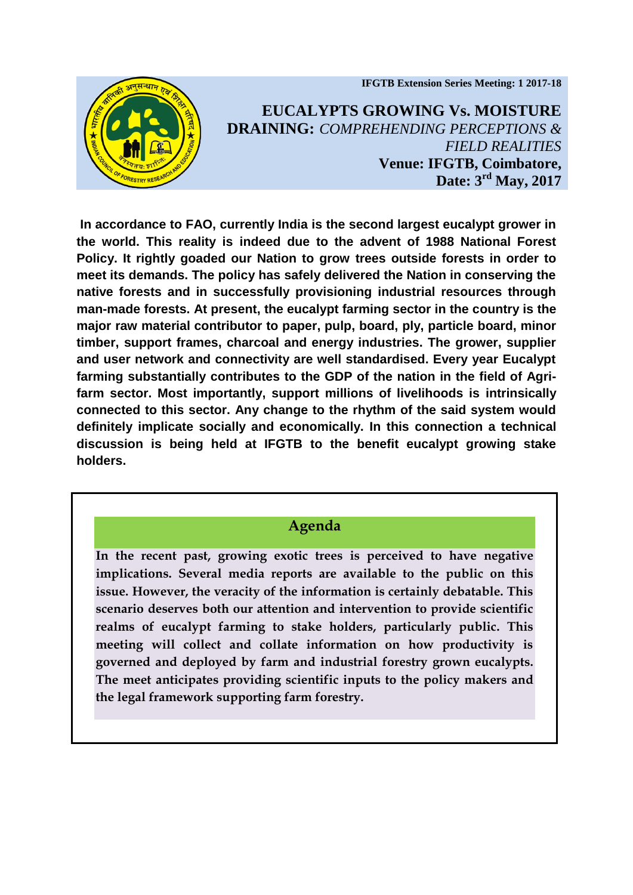**IFGTB Extension Series Meeting: 1 2017-18**



**EUCALYPTS GROWING Vs. MOISTURE DRAINING:** *COMPREHENDING PERCEPTIONS & FIELD REALITIES*  **Venue: IFGTB, Coimbatore, Date: 3 rd May, 2017**

**In accordance to FAO, currently India is the second largest eucalypt grower in the world. This reality is indeed due to the advent of 1988 National Forest Policy. It rightly goaded our Nation to grow trees outside forests in order to meet its demands. The policy has safely delivered the Nation in conserving the native forests and in successfully provisioning industrial resources through man-made forests. At present, the eucalypt farming sector in the country is the major raw material contributor to paper, pulp, board, ply, particle board, minor timber, support frames, charcoal and energy industries. The grower, supplier and user network and connectivity are well standardised. Every year Eucalypt farming substantially contributes to the GDP of the nation in the field of Agrifarm sector. Most importantly, support millions of livelihoods is intrinsically connected to this sector. Any change to the rhythm of the said system would definitely implicate socially and economically. In this connection a technical discussion is being held at IFGTB to the benefit eucalypt growing stake holders.** 

## **Agenda**

**In the recent past, growing exotic trees is perceived to have negative implications. Several media reports are available to the public on this issue. However, the veracity of the information is certainly debatable. This scenario deserves both our attention and intervention to provide scientific realms of eucalypt farming to stake holders, particularly public. This meeting will collect and collate information on how productivity is governed and deployed by farm and industrial forestry grown eucalypts. The meet anticipates providing scientific inputs to the policy makers and the legal framework supporting farm forestry.**